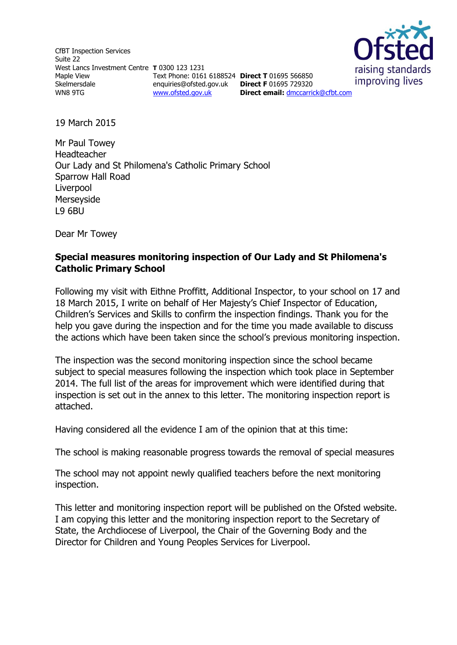CfBT Inspection Services Suite 22 West Lancs Investment Centre **T** 0300 123 1231 Maple View Skelmersdale WN8 9TG

Text Phone: 0161 6188524 **Direct T** 01695 566850 enquiries@ofsted.gov.uk **Direct F** 01695 729320 [www.ofsted.gov.uk](http://www.ofsted.gov.uk/)



**Direct email:** [dmccarrick@cfbt.com](file:///C:/Users/Peter/liwaskow/AppData/Local/Microsoft/Windows/Temporary%20Internet%20Files/Content.IE5/CDH02RMB/dmccarrick@cfbt.com)

19 March 2015

Mr Paul Towey Headteacher Our Lady and St Philomena's Catholic Primary School Sparrow Hall Road Liverpool Merseyside L9 6BU

Dear Mr Towey

#### **Special measures monitoring inspection of Our Lady and St Philomena's Catholic Primary School**

Following my visit with Eithne Proffitt, Additional Inspector, to your school on 17 and 18 March 2015, I write on behalf of Her Majesty's Chief Inspector of Education, Children's Services and Skills to confirm the inspection findings. Thank you for the help you gave during the inspection and for the time you made available to discuss the actions which have been taken since the school's previous monitoring inspection.

The inspection was the second monitoring inspection since the school became subject to special measures following the inspection which took place in September 2014. The full list of the areas for improvement which were identified during that inspection is set out in the annex to this letter. The monitoring inspection report is attached.

Having considered all the evidence I am of the opinion that at this time:

The school is making reasonable progress towards the removal of special measures

The school may not appoint newly qualified teachers before the next monitoring inspection.

This letter and monitoring inspection report will be published on the Ofsted website. I am copying this letter and the monitoring inspection report to the Secretary of State, the Archdiocese of Liverpool, the Chair of the Governing Body and the Director for Children and Young Peoples Services for Liverpool.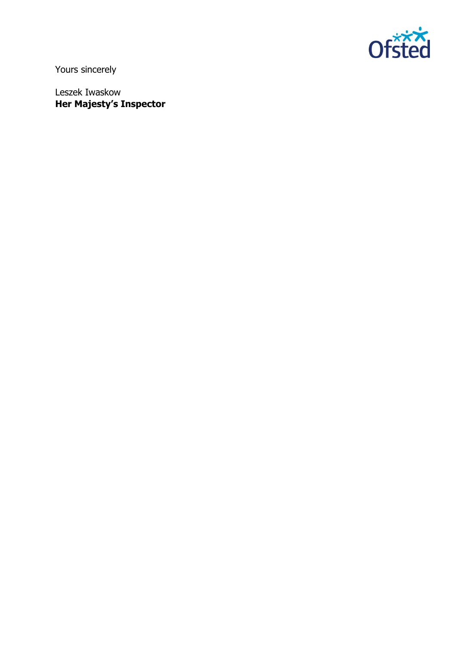

Yours sincerely

Leszek Iwaskow **Her Majesty's Inspector**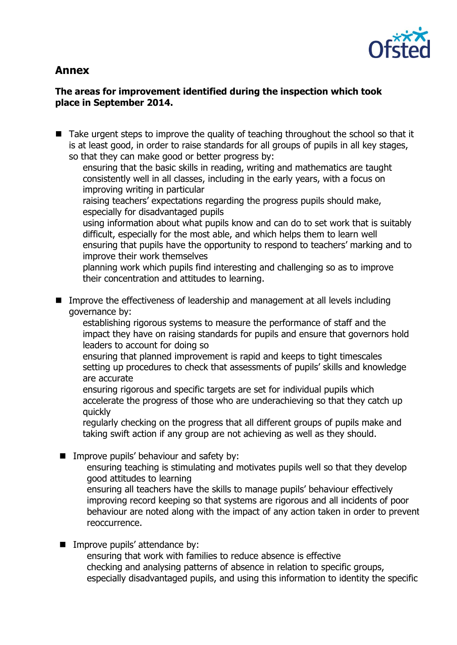

# **Annex**

## **The areas for improvement identified during the inspection which took place in September 2014.**

■ Take urgent steps to improve the quality of teaching throughout the school so that it is at least good, in order to raise standards for all groups of pupils in all key stages, so that they can make good or better progress by:

ensuring that the basic skills in reading, writing and mathematics are taught consistently well in all classes, including in the early years, with a focus on improving writing in particular

raising teachers' expectations regarding the progress pupils should make, especially for disadvantaged pupils

using information about what pupils know and can do to set work that is suitably difficult, especially for the most able, and which helps them to learn well ensuring that pupils have the opportunity to respond to teachers' marking and to improve their work themselves

planning work which pupils find interesting and challenging so as to improve their concentration and attitudes to learning.

■ Improve the effectiveness of leadership and management at all levels including governance by:

establishing rigorous systems to measure the performance of staff and the impact they have on raising standards for pupils and ensure that governors hold leaders to account for doing so

ensuring that planned improvement is rapid and keeps to tight timescales setting up procedures to check that assessments of pupils' skills and knowledge are accurate

ensuring rigorous and specific targets are set for individual pupils which accelerate the progress of those who are underachieving so that they catch up quickly

regularly checking on the progress that all different groups of pupils make and taking swift action if any group are not achieving as well as they should.

- **IMPROVE pupils' behaviour and safety by:** 
	- ensuring teaching is stimulating and motivates pupils well so that they develop good attitudes to learning

ensuring all teachers have the skills to manage pupils' behaviour effectively improving record keeping so that systems are rigorous and all incidents of poor behaviour are noted along with the impact of any action taken in order to prevent reoccurrence.

**IMPROVE pupils' attendance by:** 

ensuring that work with families to reduce absence is effective checking and analysing patterns of absence in relation to specific groups, especially disadvantaged pupils, and using this information to identity the specific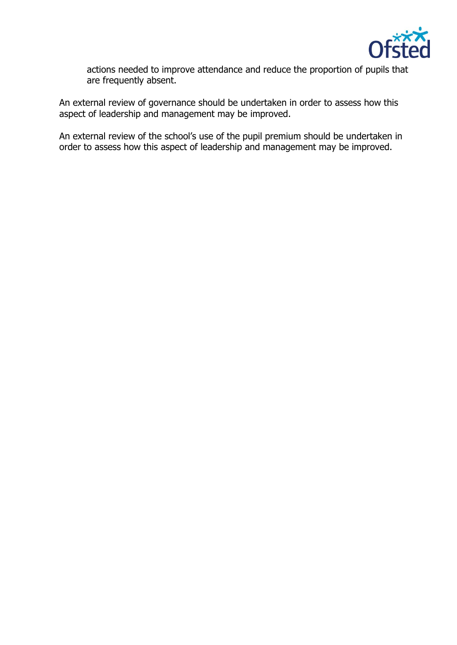

actions needed to improve attendance and reduce the proportion of pupils that are frequently absent.

An external review of governance should be undertaken in order to assess how this aspect of leadership and management may be improved.

An external review of the school's use of the pupil premium should be undertaken in order to assess how this aspect of leadership and management may be improved.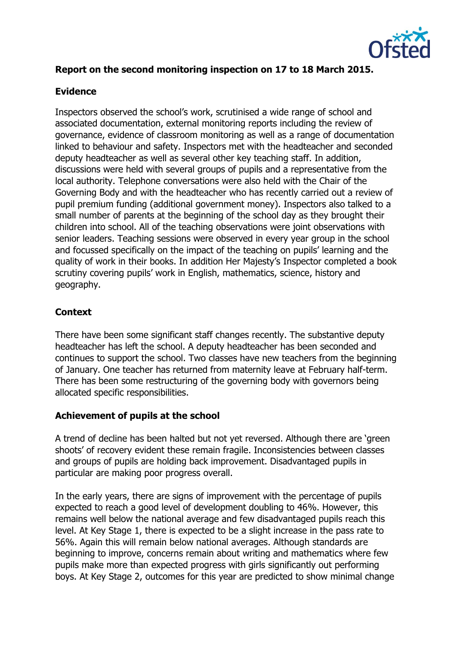

### **Report on the second monitoring inspection on 17 to 18 March 2015.**

#### **Evidence**

Inspectors observed the school's work, scrutinised a wide range of school and associated documentation, external monitoring reports including the review of governance, evidence of classroom monitoring as well as a range of documentation linked to behaviour and safety. Inspectors met with the headteacher and seconded deputy headteacher as well as several other key teaching staff. In addition, discussions were held with several groups of pupils and a representative from the local authority. Telephone conversations were also held with the Chair of the Governing Body and with the headteacher who has recently carried out a review of pupil premium funding (additional government money). Inspectors also talked to a small number of parents at the beginning of the school day as they brought their children into school. All of the teaching observations were joint observations with senior leaders. Teaching sessions were observed in every year group in the school and focussed specifically on the impact of the teaching on pupils' learning and the quality of work in their books. In addition Her Majesty's Inspector completed a book scrutiny covering pupils' work in English, mathematics, science, history and geography.

#### **Context**

There have been some significant staff changes recently. The substantive deputy headteacher has left the school. A deputy headteacher has been seconded and continues to support the school. Two classes have new teachers from the beginning of January. One teacher has returned from maternity leave at February half-term. There has been some restructuring of the governing body with governors being allocated specific responsibilities.

#### **Achievement of pupils at the school**

A trend of decline has been halted but not yet reversed. Although there are 'green shoots' of recovery evident these remain fragile. Inconsistencies between classes and groups of pupils are holding back improvement. Disadvantaged pupils in particular are making poor progress overall.

In the early years, there are signs of improvement with the percentage of pupils expected to reach a good level of development doubling to 46%. However, this remains well below the national average and few disadvantaged pupils reach this level. At Key Stage 1, there is expected to be a slight increase in the pass rate to 56%. Again this will remain below national averages. Although standards are beginning to improve, concerns remain about writing and mathematics where few pupils make more than expected progress with girls significantly out performing boys. At Key Stage 2, outcomes for this year are predicted to show minimal change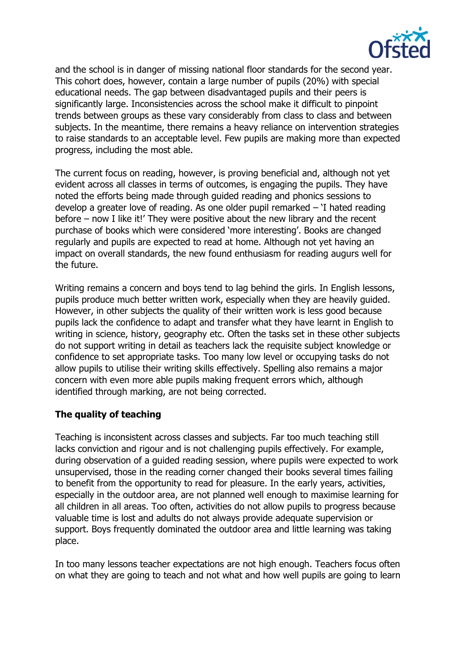

and the school is in danger of missing national floor standards for the second year. This cohort does, however, contain a large number of pupils (20%) with special educational needs. The gap between disadvantaged pupils and their peers is significantly large. Inconsistencies across the school make it difficult to pinpoint trends between groups as these vary considerably from class to class and between subjects. In the meantime, there remains a heavy reliance on intervention strategies to raise standards to an acceptable level. Few pupils are making more than expected progress, including the most able.

The current focus on reading, however, is proving beneficial and, although not yet evident across all classes in terms of outcomes, is engaging the pupils. They have noted the efforts being made through guided reading and phonics sessions to develop a greater love of reading. As one older pupil remarked – 'I hated reading before – now I like it!' They were positive about the new library and the recent purchase of books which were considered 'more interesting'. Books are changed regularly and pupils are expected to read at home. Although not yet having an impact on overall standards, the new found enthusiasm for reading augurs well for the future.

Writing remains a concern and boys tend to lag behind the girls. In English lessons, pupils produce much better written work, especially when they are heavily guided. However, in other subjects the quality of their written work is less good because pupils lack the confidence to adapt and transfer what they have learnt in English to writing in science, history, geography etc. Often the tasks set in these other subjects do not support writing in detail as teachers lack the requisite subject knowledge or confidence to set appropriate tasks. Too many low level or occupying tasks do not allow pupils to utilise their writing skills effectively. Spelling also remains a major concern with even more able pupils making frequent errors which, although identified through marking, are not being corrected.

#### **The quality of teaching**

Teaching is inconsistent across classes and subjects. Far too much teaching still lacks conviction and rigour and is not challenging pupils effectively. For example, during observation of a guided reading session, where pupils were expected to work unsupervised, those in the reading corner changed their books several times failing to benefit from the opportunity to read for pleasure. In the early years, activities, especially in the outdoor area, are not planned well enough to maximise learning for all children in all areas. Too often, activities do not allow pupils to progress because valuable time is lost and adults do not always provide adequate supervision or support. Boys frequently dominated the outdoor area and little learning was taking place.

In too many lessons teacher expectations are not high enough. Teachers focus often on what they are going to teach and not what and how well pupils are going to learn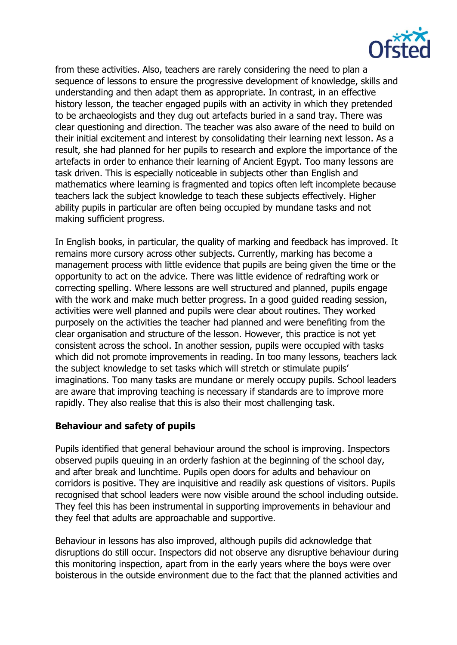

from these activities. Also, teachers are rarely considering the need to plan a sequence of lessons to ensure the progressive development of knowledge, skills and understanding and then adapt them as appropriate. In contrast, in an effective history lesson, the teacher engaged pupils with an activity in which they pretended to be archaeologists and they dug out artefacts buried in a sand tray. There was clear questioning and direction. The teacher was also aware of the need to build on their initial excitement and interest by consolidating their learning next lesson. As a result, she had planned for her pupils to research and explore the importance of the artefacts in order to enhance their learning of Ancient Egypt. Too many lessons are task driven. This is especially noticeable in subjects other than English and mathematics where learning is fragmented and topics often left incomplete because teachers lack the subject knowledge to teach these subjects effectively. Higher ability pupils in particular are often being occupied by mundane tasks and not making sufficient progress.

In English books, in particular, the quality of marking and feedback has improved. It remains more cursory across other subjects. Currently, marking has become a management process with little evidence that pupils are being given the time or the opportunity to act on the advice. There was little evidence of redrafting work or correcting spelling. Where lessons are well structured and planned, pupils engage with the work and make much better progress. In a good guided reading session, activities were well planned and pupils were clear about routines. They worked purposely on the activities the teacher had planned and were benefiting from the clear organisation and structure of the lesson. However, this practice is not yet consistent across the school. In another session, pupils were occupied with tasks which did not promote improvements in reading. In too many lessons, teachers lack the subject knowledge to set tasks which will stretch or stimulate pupils' imaginations. Too many tasks are mundane or merely occupy pupils. School leaders are aware that improving teaching is necessary if standards are to improve more rapidly. They also realise that this is also their most challenging task.

#### **Behaviour and safety of pupils**

Pupils identified that general behaviour around the school is improving. Inspectors observed pupils queuing in an orderly fashion at the beginning of the school day, and after break and lunchtime. Pupils open doors for adults and behaviour on corridors is positive. They are inquisitive and readily ask questions of visitors. Pupils recognised that school leaders were now visible around the school including outside. They feel this has been instrumental in supporting improvements in behaviour and they feel that adults are approachable and supportive.

Behaviour in lessons has also improved, although pupils did acknowledge that disruptions do still occur. Inspectors did not observe any disruptive behaviour during this monitoring inspection, apart from in the early years where the boys were over boisterous in the outside environment due to the fact that the planned activities and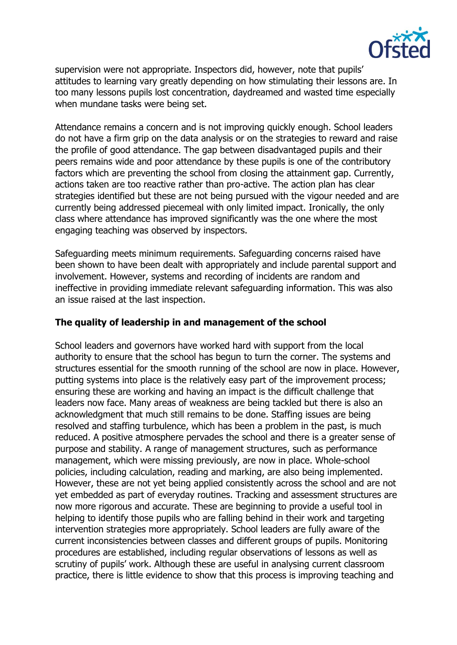

supervision were not appropriate. Inspectors did, however, note that pupils' attitudes to learning vary greatly depending on how stimulating their lessons are. In too many lessons pupils lost concentration, daydreamed and wasted time especially when mundane tasks were being set.

Attendance remains a concern and is not improving quickly enough. School leaders do not have a firm grip on the data analysis or on the strategies to reward and raise the profile of good attendance. The gap between disadvantaged pupils and their peers remains wide and poor attendance by these pupils is one of the contributory factors which are preventing the school from closing the attainment gap. Currently, actions taken are too reactive rather than pro-active. The action plan has clear strategies identified but these are not being pursued with the vigour needed and are currently being addressed piecemeal with only limited impact. Ironically, the only class where attendance has improved significantly was the one where the most engaging teaching was observed by inspectors.

Safeguarding meets minimum requirements. Safeguarding concerns raised have been shown to have been dealt with appropriately and include parental support and involvement. However, systems and recording of incidents are random and ineffective in providing immediate relevant safeguarding information. This was also an issue raised at the last inspection.

### **The quality of leadership in and management of the school**

School leaders and governors have worked hard with support from the local authority to ensure that the school has begun to turn the corner. The systems and structures essential for the smooth running of the school are now in place. However, putting systems into place is the relatively easy part of the improvement process; ensuring these are working and having an impact is the difficult challenge that leaders now face. Many areas of weakness are being tackled but there is also an acknowledgment that much still remains to be done. Staffing issues are being resolved and staffing turbulence, which has been a problem in the past, is much reduced. A positive atmosphere pervades the school and there is a greater sense of purpose and stability. A range of management structures, such as performance management, which were missing previously, are now in place. Whole-school policies, including calculation, reading and marking, are also being implemented. However, these are not yet being applied consistently across the school and are not yet embedded as part of everyday routines. Tracking and assessment structures are now more rigorous and accurate. These are beginning to provide a useful tool in helping to identify those pupils who are falling behind in their work and targeting intervention strategies more appropriately. School leaders are fully aware of the current inconsistencies between classes and different groups of pupils. Monitoring procedures are established, including regular observations of lessons as well as scrutiny of pupils' work. Although these are useful in analysing current classroom practice, there is little evidence to show that this process is improving teaching and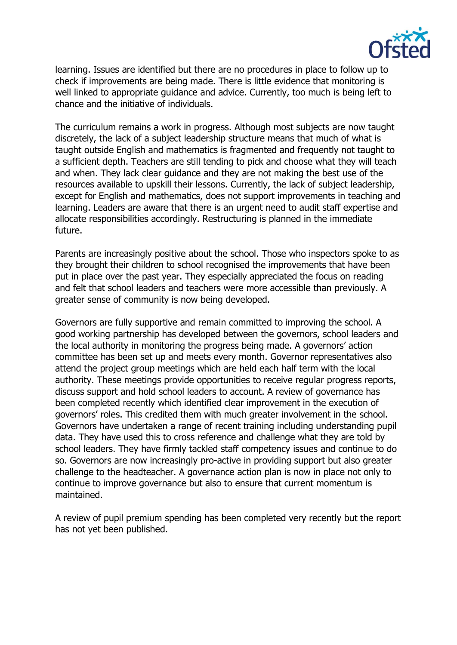

learning. Issues are identified but there are no procedures in place to follow up to check if improvements are being made. There is little evidence that monitoring is well linked to appropriate guidance and advice. Currently, too much is being left to chance and the initiative of individuals.

The curriculum remains a work in progress. Although most subjects are now taught discretely, the lack of a subject leadership structure means that much of what is taught outside English and mathematics is fragmented and frequently not taught to a sufficient depth. Teachers are still tending to pick and choose what they will teach and when. They lack clear guidance and they are not making the best use of the resources available to upskill their lessons. Currently, the lack of subject leadership, except for English and mathematics, does not support improvements in teaching and learning. Leaders are aware that there is an urgent need to audit staff expertise and allocate responsibilities accordingly. Restructuring is planned in the immediate future.

Parents are increasingly positive about the school. Those who inspectors spoke to as they brought their children to school recognised the improvements that have been put in place over the past year. They especially appreciated the focus on reading and felt that school leaders and teachers were more accessible than previously. A greater sense of community is now being developed.

Governors are fully supportive and remain committed to improving the school. A good working partnership has developed between the governors, school leaders and the local authority in monitoring the progress being made. A governors' action committee has been set up and meets every month. Governor representatives also attend the project group meetings which are held each half term with the local authority. These meetings provide opportunities to receive regular progress reports, discuss support and hold school leaders to account. A review of governance has been completed recently which identified clear improvement in the execution of governors' roles. This credited them with much greater involvement in the school. Governors have undertaken a range of recent training including understanding pupil data. They have used this to cross reference and challenge what they are told by school leaders. They have firmly tackled staff competency issues and continue to do so. Governors are now increasingly pro-active in providing support but also greater challenge to the headteacher. A governance action plan is now in place not only to continue to improve governance but also to ensure that current momentum is maintained.

A review of pupil premium spending has been completed very recently but the report has not yet been published.